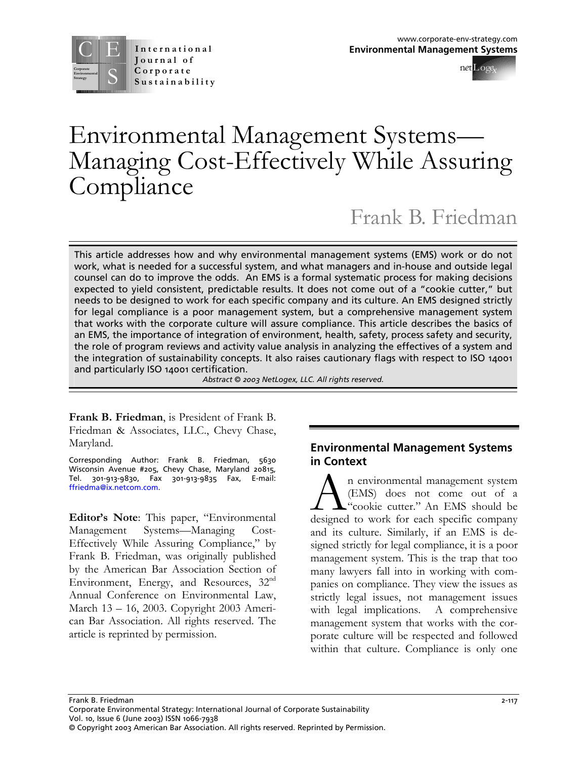



# Environmental Management Systems— Managing Cost-Effectively While Assuring Compliance

Frank B. Friedman

This article addresses how and why environmental management systems (EMS) work or do not work, what is needed for a successful system, and what managers and in-house and outside legal counsel can do to improve the odds. An EMS is a formal systematic process for making decisions expected to yield consistent, predictable results. It does not come out of a "cookie cutter," but needs to be designed to work for each specific company and its culture. An EMS designed strictly for legal compliance is a poor management system, but a comprehensive management system that works with the corporate culture will assure compliance. This article describes the basics of an EMS, the importance of integration of environment, health, safety, process safety and security, the role of program reviews and activity value analysis in analyzing the effectives of a system and the integration of sustainability concepts. It also raises cautionary flags with respect to ISO 14001 and particularly ISO 14001 certification.

*Abstract © 2003 NetLogex, LLC. All rights reserved.* 

**Frank B. Friedman**, is President of Frank B. Friedman & Associates, LLC., Chevy Chase, Maryland.

Corresponding Author: Frank B. Friedman, 5630 Wisconsin Avenue #205, Chevy Chase, Maryland 20815, Tel. 301-913-9830, Fax 301-913-9835 Fax, E-mail: [ffriedma@ix.netcom.com](mailto:ffriedma@ix.netcom.com).

**Editor's Note**: This paper, "Environmental Management Systems—Managing Cost-Effectively While Assuring Compliance," by Frank B. Friedman, was originally published by the American Bar Association Section of Environment, Energy, and Resources, 32<sup>nd</sup> Annual Conference on Environmental Law, March 13 – 16, 2003. Copyright 2003 American Bar Association. All rights reserved. The article is reprinted by permission.

#### **Environmental Management Systems in Context**

A in environmental management system<br>(EMS) does not come out of a<br>designed to work for each specific company n environmental management system (EMS) does not come out of a "cookie cutter." An EMS should be and its culture. Similarly, if an EMS is designed strictly for legal compliance, it is a poor management system. This is the trap that too many lawyers fall into in working with companies on compliance. They view the issues as strictly legal issues, not management issues with legal implications. A comprehensive management system that works with the corporate culture will be respected and followed within that culture. Compliance is only one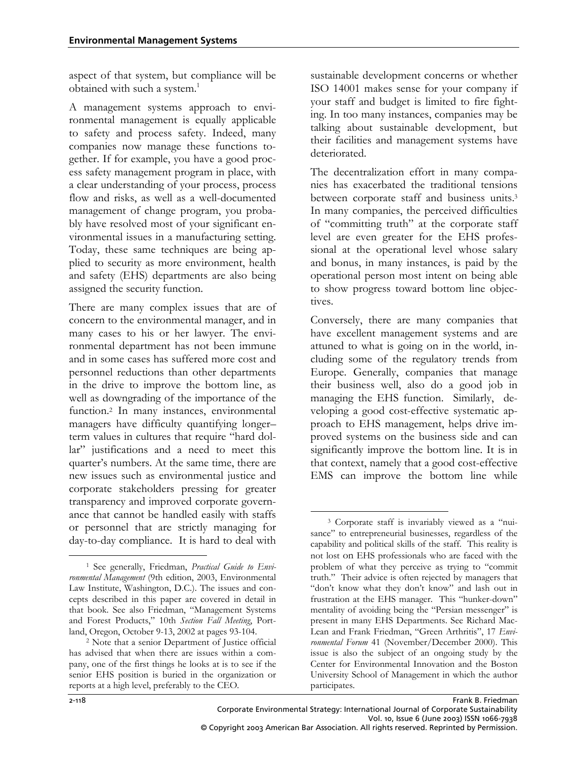aspect of that system, but compliance will be obtained with such a system.<sup>1</sup>

A management systems approach to environmental management is equally applicable to safety and process safety. Indeed, many companies now manage these functions together. If for example, you have a good process safety management program in place, with a clear understanding of your process, process flow and risks, as well as a well-documented management of change program, you probably have resolved most of your significant environmental issues in a manufacturing setting. Today, these same techniques are being applied to security as more environment, health and safety (EHS) departments are also being assigned the security function.

There are many complex issues that are of concern to the environmental manager, and in many cases to his or her lawyer. The environmental department has not been immune and in some cases has suffered more cost and personnel reductions than other departments in the drive to improve the bottom line, as well as downgrading of the importance of the function.[2](#page-1-1) In many instances, environmental managers have difficulty quantifying longer– term values in cultures that require "hard dollar" justifications and a need to meet this quarter's numbers. At the same time, there are new issues such as environmental justice and corporate stakeholders pressing for greater transparency and improved corporate governance that cannot be handled easily with staffs or personnel that are strictly managing for day-to-day compliance. It is hard to deal with

sustainable development concerns or whether ISO 14001 makes sense for your company if your staff and budget is limited to fire fighting. In too many instances, companies may be talking about sustainable development, but their facilities and management systems have deteriorated.

The decentralization effort in many companies has exacerbated the traditional tensions between corporate staff and business units.<sup>[3](#page-1-2)</sup> In many companies, the perceived difficulties of "committing truth" at the corporate staff level are even greater for the EHS professional at the operational level whose salary and bonus, in many instances, is paid by the operational person most intent on being able to show progress toward bottom line objectives.

Conversely, there are many companies that have excellent management systems and are attuned to what is going on in the world, including some of the regulatory trends from Europe. Generally, companies that manage their business well, also do a good job in managing the EHS function. Similarly, developing a good cost-effective systematic approach to EHS management, helps drive improved systems on the business side and can significantly improve the bottom line. It is in that context, namely that a good cost-effective EMS can improve the bottom line while

-

<span id="page-1-0"></span><sup>-</sup>1 See generally, Friedman, *Practical Guide to Environmental Management* (9th edition, 2003, Environmental Law Institute, Washington, D.C.). The issues and concepts described in this paper are covered in detail in that book. See also Friedman, "Management Systems and Forest Products," 10th *Section Fall Meeting*, Portland, Oregon, October 9-13, 2002 at pages 93-104. 2 Note that a senior Department of Justice official

<span id="page-1-1"></span>has advised that when there are issues within a company, one of the first things he looks at is to see if the senior EHS position is buried in the organization or reports at a high level, preferably to the CEO.

<span id="page-1-2"></span><sup>3</sup> Corporate staff is invariably viewed as a "nuisance" to entrepreneurial businesses, regardless of the capability and political skills of the staff. This reality is not lost on EHS professionals who are faced with the problem of what they perceive as trying to "commit truth." Their advice is often rejected by managers that "don't know what they don't know" and lash out in frustration at the EHS manager. This "hunker-down" mentality of avoiding being the "Persian messenger" is present in many EHS Departments. See Richard Mac-Lean and Frank Friedman, "Green Arthritis", 17 *Environmental Forum* 41 (November/December 2000). This issue is also the subject of an ongoing study by the Center for Environmental Innovation and the Boston University School of Management in which the author participates.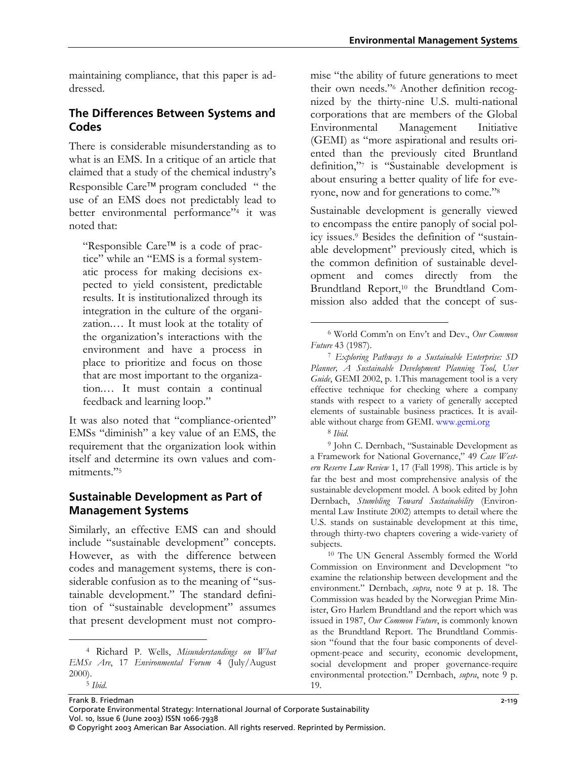maintaining compliance, that this paper is addressed.

### **The Differences Between Systems and Codes**

There is considerable misunderstanding as to what is an EMS. In a critique of an article that claimed that a study of the chemical industry's Responsible Care™ program concluded " the use of an EMS does not predictably lead to better environmental performance["4](#page-2-0) it was noted that:

"Responsible Care™ is a code of practice" while an "EMS is a formal systematic process for making decisions expected to yield consistent, predictable results. It is institutionalized through its integration in the culture of the organization.… It must look at the totality of the organization's interactions with the environment and have a process in place to prioritize and focus on those that are most important to the organization.… It must contain a continual feedback and learning loop."

It was also noted that "compliance-oriented" EMSs "diminish" a key value of an EMS, the requirement that the organization look within itself and determine its own values and com-mitments."<sup>[5](#page-2-1)</sup>

#### **Sustainable Development as Part of Management Systems**

Similarly, an effective EMS can and should include "sustainable development" concepts. However, as with the difference between codes and management systems, there is considerable confusion as to the meaning of "sustainable development." The standard definition of "sustainable development" assumes that present development must not compro-

 $\overline{a}$ 

mise "the ability of future generations to meet their own needs."[6](#page-2-2) Another definition recognized by the thirty-nine U.S. multi-national corporations that are members of the Global Environmental Management Initiative (GEMI) as "more aspirational and results oriented than the previously cited Bruntland definition,["7](#page-2-3) is "Sustainable development is about ensuring a better quality of life for everyone, now and for generations to come."[8](#page-2-4)

Sustainable development is generally viewed to encompass the entire panoply of social policy issues.[9](#page-2-5) Besides the definition of "sustainable development" previously cited, which is the common definition of sustainable development and comes directly from the Brundtland Report,<sup>10</sup> the Brundtland Commission also added that the concept of sus-

-

<sup>8</sup> Ibid.<br><sup>9</sup> John C. Dernbach, "Sustainable Development as a Framework for National Governance," 49 *Case Western Reserve Law Review* 1, 17 (Fall 1998). This article is by far the best and most comprehensive analysis of the sustainable development model. A book edited by John Dernbach, *Stumbling Toward Sustainability* (Environmental Law Institute 2002) attempts to detail where the U.S. stands on sustainable development at this time, through thirty-two chapters covering a wide-variety of

<span id="page-2-6"></span>subjects. 10 The UN General Assembly formed the World Commission on Environment and Development "to examine the relationship between development and the environment." Dernbach, *supra*, note 9 at p. 18. The Commission was headed by the Norwegian Prime Minister, Gro Harlem Brundtland and the report which was issued in 1987, *Our Common Future*, is commonly known as the Brundtland Report. The Brundtland Commission "found that the four basic components of development-peace and security, economic development, social development and proper governance-require environmental protection." Dernbach, *supra*, note 9 p. 19.

<span id="page-2-1"></span><span id="page-2-0"></span><sup>4</sup> Richard P. Wells, *Misunderstandings on What EMSs Are*, 17 *Environmental Forum* 4 (July/August 2000). <sup>5</sup> *Ibid*.

<span id="page-2-2"></span><sup>6</sup> World Comm'n on Env't and Dev., *Our Common*

<span id="page-2-3"></span>*Future* 43 (1987). 7 *Exploring Pathways to a Sustainable Enterprise: SD Planner, A Sustainable Development Planning Tool, User Guide*, GEMI 2002, p. 1.This management tool is a very effective technique for checking where a company stands with respect to a variety of generally accepted elements of sustainable business practices. It is available without charge from GEMI. www.gemi.org

<span id="page-2-5"></span><span id="page-2-4"></span>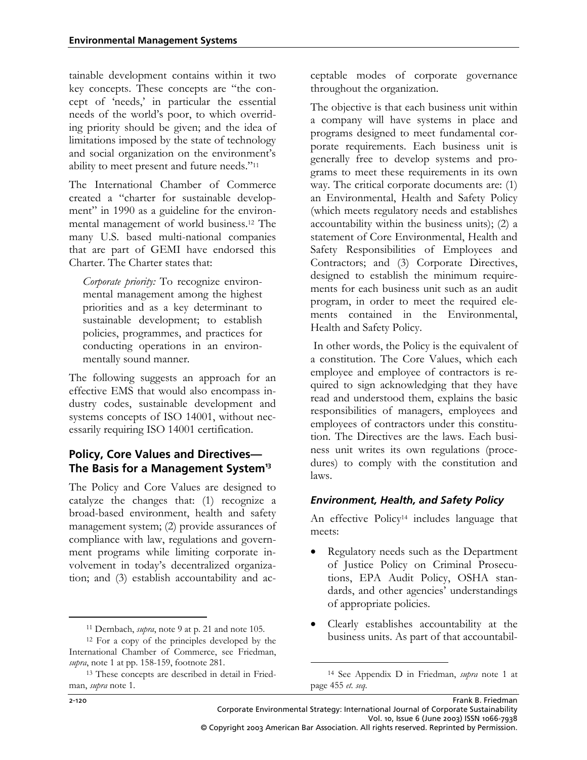tainable development contains within it two key concepts. These concepts are "the concept of 'needs,' in particular the essential needs of the world's poor, to which overriding priority should be given; and the idea of limitations imposed by the state of technology and social organization on the environment's ability to meet present and future needs."[11](#page-3-0)

The International Chamber of Commerce created a "charter for sustainable development" in 1990 as a guideline for the environmental management of world business.[12](#page-3-1) The many U.S. based multi-national companies that are part of GEMI have endorsed this Charter. The Charter states that:

*Corporate priority:* To recognize environmental management among the highest priorities and as a key determinant to sustainable development; to establish policies, programmes, and practices for conducting operations in an environmentally sound manner*.*

The following suggests an approach for an effective EMS that would also encompass industry codes, sustainable development and systems concepts of ISO 14001, without necessarily requiring ISO 14001 certification.

#### **Policy, Core Values and Directives— The Basis for a Management System13**

The Policy and Core Values are designed to catalyze the changes that: (1) recognize a broad-based environment, health and safety management system; (2) provide assurances of compliance with law, regulations and government programs while limiting corporate involvement in today's decentralized organization; and (3) establish accountability and acceptable modes of corporate governance throughout the organization.

The objective is that each business unit within a company will have systems in place and programs designed to meet fundamental corporate requirements. Each business unit is generally free to develop systems and programs to meet these requirements in its own way. The critical corporate documents are: (1) an Environmental, Health and Safety Policy (which meets regulatory needs and establishes accountability within the business units); (2) a statement of Core Environmental, Health and Safety Responsibilities of Employees and Contractors; and (3) Corporate Directives, designed to establish the minimum requirements for each business unit such as an audit program, in order to meet the required elements contained in the Environmental, Health and Safety Policy.

 In other words, the Policy is the equivalent of a constitution. The Core Values, which each employee and employee of contractors is required to sign acknowledging that they have read and understood them, explains the basic responsibilities of managers, employees and employees of contractors under this constitution. The Directives are the laws. Each business unit writes its own regulations (procedures) to comply with the constitution and laws.

#### *Environment, Health, and Safety Policy*

An effective Policy<sup>14</sup> includes language that meets:

- Regulatory needs such as the Department of Justice Policy on Criminal Prosecutions, EPA Audit Policy, OSHA standards, and other agencies' understandings of appropriate policies.
- Clearly establishes accountability at the business units. As part of that accountabil-

-

 $\overline{a}$ 

<span id="page-3-1"></span><span id="page-3-0"></span>

<sup>11</sup> Dernbach, *supra*, note 9 at p. 21 and note 105. 12 For a copy of the principles developed by the International Chamber of Commerce, see Friedman, *supra*, note 1 at pp. 158-159, footnote 281.

<span id="page-3-2"></span><sup>13</sup> These concepts are described in detail in Friedman, *supra* note 1.

<span id="page-3-3"></span><sup>14</sup> See Appendix D in Friedman, *supra* note 1 at page 455 *et. seq.*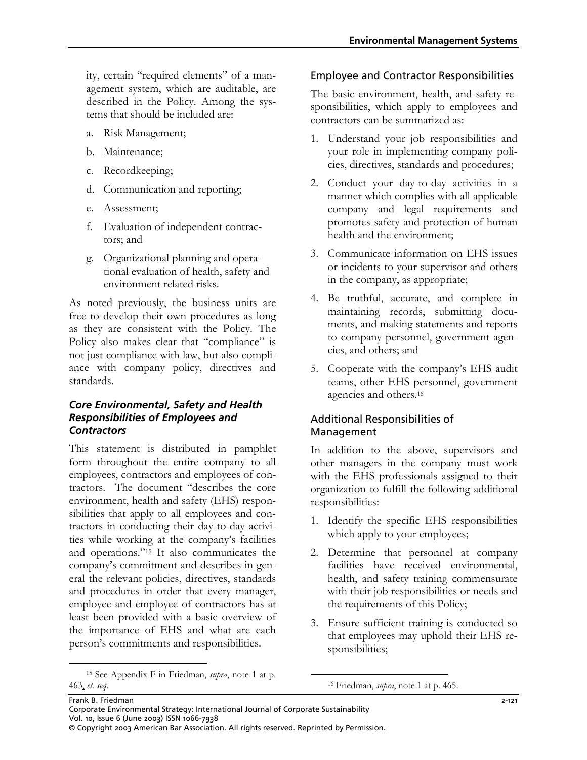ity, certain "required elements" of a management system, which are auditable, are described in the Policy. Among the systems that should be included are:

- a. Risk Management;
- b. Maintenance;
- c. Recordkeeping;
- d. Communication and reporting;
- e. Assessment;
- f. Evaluation of independent contractors; and
- g. Organizational planning and operational evaluation of health, safety and environment related risks.

As noted previously, the business units are free to develop their own procedures as long as they are consistent with the Policy. The Policy also makes clear that "compliance" is not just compliance with law, but also compliance with company policy, directives and standards.

#### *Core Environmental, Safety and Health Responsibilities of Employees and Contractors*

This statement is distributed in pamphlet form throughout the entire company to all employees, contractors and employees of contractors. The document "describes the core environment, health and safety (EHS) responsibilities that apply to all employees and contractors in conducting their day-to-day activities while working at the company's facilities and operations."[15](#page-4-0) It also communicates the company's commitment and describes in general the relevant policies, directives, standards and procedures in order that every manager, employee and employee of contractors has at least been provided with a basic overview of the importance of EHS and what are each person's commitments and responsibilities.

#### Employee and Contractor Responsibilities

The basic environment, health, and safety responsibilities, which apply to employees and contractors can be summarized as:

- 1. Understand your job responsibilities and your role in implementing company policies, directives, standards and procedures;
- 2. Conduct your day-to-day activities in a manner which complies with all applicable company and legal requirements and promotes safety and protection of human health and the environment;
- 3. Communicate information on EHS issues or incidents to your supervisor and others in the company, as appropriate;
- 4. Be truthful, accurate, and complete in maintaining records, submitting documents, and making statements and reports to company personnel, government agencies, and others; and
- 5. Cooperate with the company's EHS audit teams, other EHS personnel, government agencies and others[.16](#page-4-1)

#### Additional Responsibilities of Management

In addition to the above, supervisors and other managers in the company must work with the EHS professionals assigned to their organization to fulfill the following additional responsibilities:

- 1. Identify the specific EHS responsibilities which apply to your employees;
- 2. Determine that personnel at company facilities have received environmental, health, and safety training commensurate with their job responsibilities or needs and the requirements of this Policy;
- 3. Ensure sufficient training is conducted so that employees may uphold their EHS responsibilities;

<span id="page-4-0"></span> <sup>15</sup> See Appendix F in Friedman, *supra*, note 1 at p. 463, *et. seq.*

<span id="page-4-1"></span> <sup>16</sup> Friedman, *supra*, note 1 at p. 465.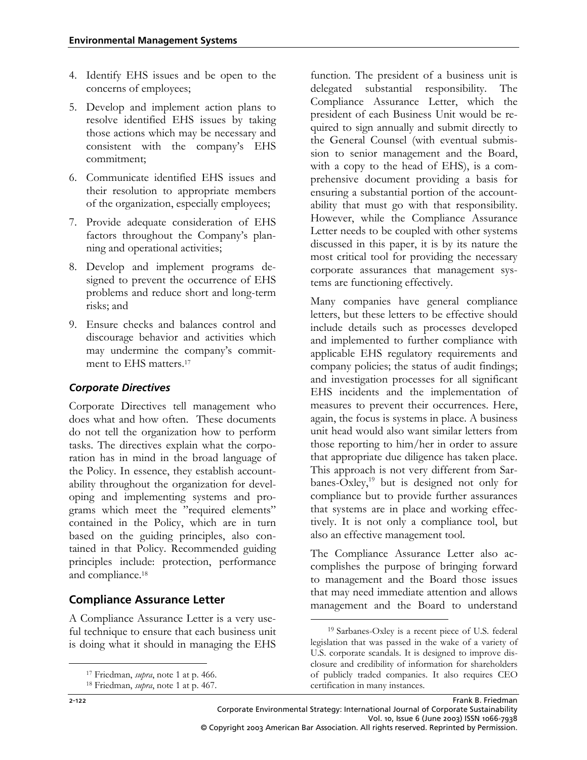- 4. Identify EHS issues and be open to the concerns of employees;
- 5. Develop and implement action plans to resolve identified EHS issues by taking those actions which may be necessary and consistent with the company's EHS commitment;
- 6. Communicate identified EHS issues and their resolution to appropriate members of the organization, especially employees;
- 7. Provide adequate consideration of EHS factors throughout the Company's planning and operational activities;
- 8. Develop and implement programs designed to prevent the occurrence of EHS problems and reduce short and long-term risks; and
- 9. Ensure checks and balances control and discourage behavior and activities which may undermine the company's commit-ment to EHS matters.<sup>[17](#page-5-0)</sup>

#### *Corporate Directives*

Corporate Directives tell management who does what and how often. These documents do not tell the organization how to perform tasks. The directives explain what the corporation has in mind in the broad language of the Policy. In essence, they establish accountability throughout the organization for developing and implementing systems and programs which meet the "required elements" contained in the Policy, which are in turn based on the guiding principles, also contained in that Policy. Recommended guiding principles include: protection, performance and compliance.[18](#page-5-1)

### **Compliance Assurance Letter**

A Compliance Assurance Letter is a very useful technique to ensure that each business unit is doing what it should in managing the EHS function. The president of a business unit is delegated substantial responsibility. The Compliance Assurance Letter, which the president of each Business Unit would be required to sign annually and submit directly to the General Counsel (with eventual submission to senior management and the Board, with a copy to the head of EHS), is a comprehensive document providing a basis for ensuring a substantial portion of the accountability that must go with that responsibility. However, while the Compliance Assurance Letter needs to be coupled with other systems discussed in this paper, it is by its nature the most critical tool for providing the necessary corporate assurances that management systems are functioning effectively.

Many companies have general compliance letters, but these letters to be effective should include details such as processes developed and implemented to further compliance with applicable EHS regulatory requirements and company policies; the status of audit findings; and investigation processes for all significant EHS incidents and the implementation of measures to prevent their occurrences. Here, again, the focus is systems in place. A business unit head would also want similar letters from those reporting to him/her in order to assure that appropriate due diligence has taken place. This approach is not very different from Sarbanes-Oxley,<sup>19</sup> but is designed not only for compliance but to provide further assurances that systems are in place and working effectively. It is not only a compliance tool, but also an effective management tool.

The Compliance Assurance Letter also accomplishes the purpose of bringing forward to management and the Board those issues that may need immediate attention and allows management and the Board to understand

 $\overline{a}$ 

-

<span id="page-5-0"></span>

<span id="page-5-1"></span><sup>17</sup> Friedman, *supra*, note 1 at p. 466. 18 Friedman, *supra*, note 1 at p. 467.

<span id="page-5-2"></span><sup>19</sup> Sarbanes-Oxley is a recent piece of U.S. federal legislation that was passed in the wake of a variety of U.S. corporate scandals. It is designed to improve disclosure and credibility of information for shareholders of publicly traded companies. It also requires CEO certification in many instances.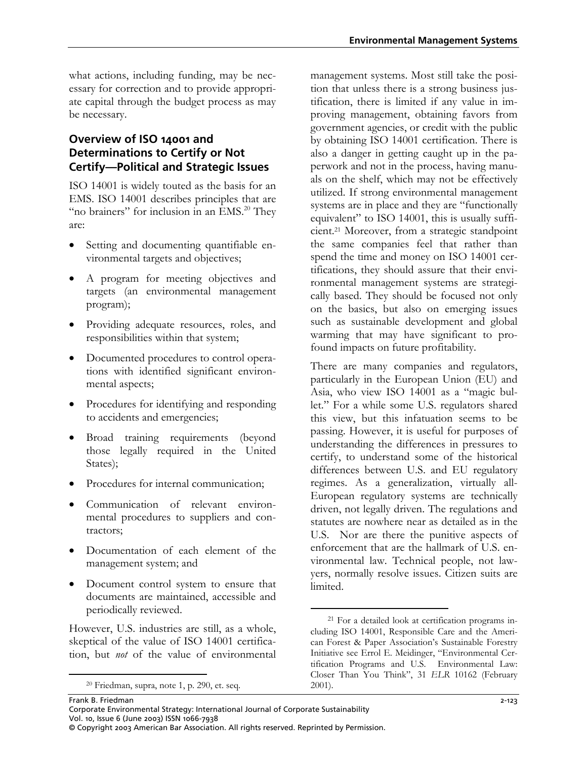what actions, including funding, may be necessary for correction and to provide appropriate capital through the budget process as may be necessary.

#### **Overview of ISO 14001 and Determinations to Certify or Not Certify—Political and Strategic Issues**

ISO 14001 is widely touted as the basis for an EMS. ISO 14001 describes principles that are "no brainers" for inclusion in an EMS.<sup>20</sup> They are:

- Setting and documenting quantifiable environmental targets and objectives;
- A program for meeting objectives and targets (an environmental management program);
- Providing adequate resources, roles, and responsibilities within that system;
- Documented procedures to control operations with identified significant environmental aspects;
- Procedures for identifying and responding to accidents and emergencies;
- Broad training requirements (beyond those legally required in the United States);
- Procedures for internal communication;
- Communication of relevant environmental procedures to suppliers and contractors;
- Documentation of each element of the management system; and
- Document control system to ensure that documents are maintained, accessible and periodically reviewed.

However, U.S. industries are still, as a whole, skeptical of the value of ISO 14001 certification, but *not* of the value of environmental

 $\overline{a}$ 

management systems. Most still take the position that unless there is a strong business justification, there is limited if any value in improving management, obtaining favors from government agencies, or credit with the public by obtaining ISO 14001 certification. There is also a danger in getting caught up in the paperwork and not in the process, having manuals on the shelf, which may not be effectively utilized. If strong environmental management systems are in place and they are "functionally equivalent" to ISO 14001, this is usually sufficient.[21](#page-6-1) Moreover, from a strategic standpoint the same companies feel that rather than spend the time and money on ISO 14001 certifications, they should assure that their environmental management systems are strategically based. They should be focused not only on the basics, but also on emerging issues such as sustainable development and global warming that may have significant to profound impacts on future profitability.

There are many companies and regulators, particularly in the European Union (EU) and Asia, who view ISO 14001 as a "magic bullet." For a while some U.S. regulators shared this view, but this infatuation seems to be passing. However, it is useful for purposes of understanding the differences in pressures to certify, to understand some of the historical differences between U.S. and EU regulatory regimes. As a generalization, virtually all-European regulatory systems are technically driven, not legally driven. The regulations and statutes are nowhere near as detailed as in the U.S. Nor are there the punitive aspects of enforcement that are the hallmark of U.S. environmental law. Technical people, not lawyers, normally resolve issues. Citizen suits are limited.

<span id="page-6-0"></span><sup>20</sup> Friedman, supra, note 1, p. 290, et. seq.

<span id="page-6-1"></span><sup>-</sup>21 For a detailed look at certification programs including ISO 14001, Responsible Care and the American Forest & Paper Association's Sustainable Forestry Initiative see Errol E. Meidinger, "Environmental Certification Programs and U.S. Environmental Law: Closer Than You Think", 31 *ELR* 10162 (February 2001).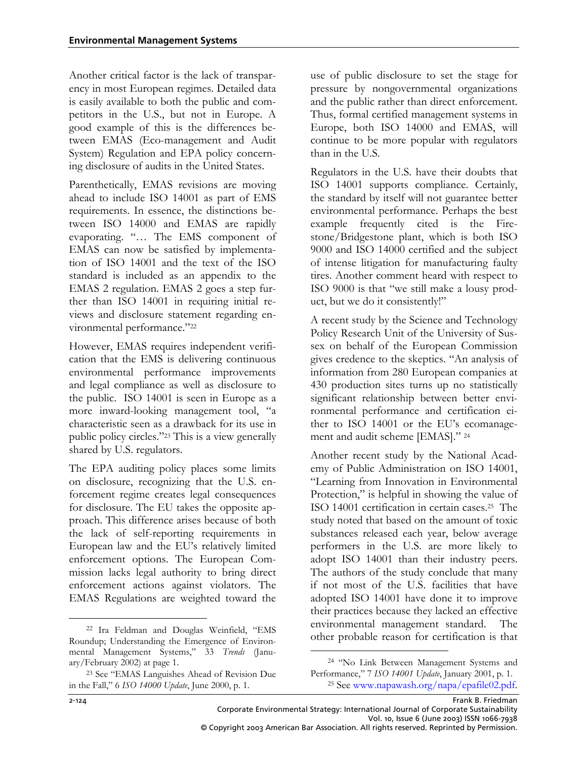Another critical factor is the lack of transparency in most European regimes. Detailed data is easily available to both the public and competitors in the U.S., but not in Europe. A good example of this is the differences between EMAS (Eco-management and Audit System) Regulation and EPA policy concerning disclosure of audits in the United States.

Parenthetically, EMAS revisions are moving ahead to include ISO 14001 as part of EMS requirements. In essence, the distinctions between ISO 14000 and EMAS are rapidly evaporating. "… The EMS component of EMAS can now be satisfied by implementation of ISO 14001 and the text of the ISO standard is included as an appendix to the EMAS 2 regulation. EMAS 2 goes a step further than ISO 14001 in requiring initial reviews and disclosure statement regarding environmental performance."[22](#page-7-0)

However, EMAS requires independent verification that the EMS is delivering continuous environmental performance improvements and legal compliance as well as disclosure to the public. ISO 14001 is seen in Europe as a more inward-looking management tool, "a characteristic seen as a drawback for its use in public policy circles."[23 T](#page-7-1)his is a view generally shared by U.S. regulators.

The EPA auditing policy places some limits on disclosure, recognizing that the U.S. enforcement regime creates legal consequences for disclosure. The EU takes the opposite approach. This difference arises because of both the lack of self-reporting requirements in European law and the EU's relatively limited enforcement options. The European Commission lacks legal authority to bring direct enforcement actions against violators. The EMAS Regulations are weighted toward the

use of public disclosure to set the stage for pressure by nongovernmental organizations and the public rather than direct enforcement. Thus, formal certified management systems in Europe, both ISO 14000 and EMAS, will continue to be more popular with regulators than in the U.S.

Regulators in the U.S. have their doubts that ISO 14001 supports compliance. Certainly, the standard by itself will not guarantee better environmental performance. Perhaps the best example frequently cited is the Firestone/Bridgestone plant, which is both ISO 9000 and ISO 14000 certified and the subject of intense litigation for manufacturing faulty tires. Another comment heard with respect to ISO 9000 is that "we still make a lousy product, but we do it consistently!"

A recent study by the Science and Technology Policy Research Unit of the University of Sussex on behalf of the European Commission gives credence to the skeptics. "An analysis of information from 280 European companies at 430 production sites turns up no statistically significant relationship between better environmental performance and certification either to ISO 14001 or the EU's ecomanagement and audit scheme [EMAS]." [24](#page-7-2)

Another recent study by the National Academy of Public Administration on ISO 14001, "Learning from Innovation in Environmental Protection," is helpful in showing the value of ISO 14001 certification in certain cases.[25](#page-7-3) The study noted that based on the amount of toxic substances released each year, below average performers in the U.S. are more likely to adopt ISO 14001 than their industry peers. The authors of the study conclude that many if not most of the U.S. facilities that have adopted ISO 14001 have done it to improve their practices because they lacked an effective environmental management standard. The other probable reason for certification is that

-

-

<span id="page-7-0"></span><sup>22</sup> Ira Feldman and Douglas Weinfield, "EMS Roundup; Understanding the Emergence of Environmental Management Systems," 33 *Trends* (January/February 2002) at page 1.

<span id="page-7-1"></span><sup>23</sup> See "EMAS Languishes Ahead of Revision Due in the Fall," 6 *ISO 14000 Update*, June 2000, p. 1.

<span id="page-7-3"></span><span id="page-7-2"></span><sup>24</sup> "No Link Between Management Systems and Performance," 7 *ISO 14001 Update*, January 2001, p. 1. 25 See [www.napawash.org/napa/epafile02.pdf.](http://www.napawash.org/napa/epafile02.pdf)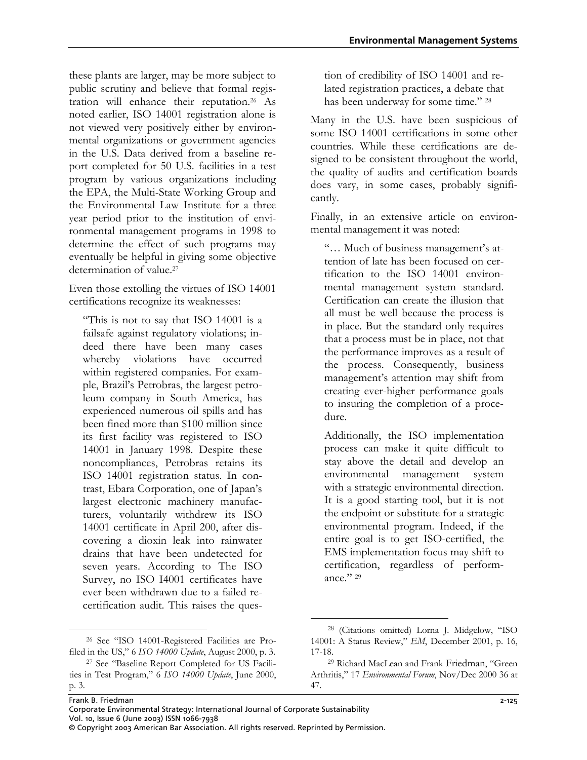these plants are larger, may be more subject to public scrutiny and believe that formal registration will enhance their reputation.[26](#page-8-0) As noted earlier, ISO 14001 registration alone is not viewed very positively either by environmental organizations or government agencies in the U.S. Data derived from a baseline report completed for 50 U.S. facilities in a test program by various organizations including the EPA, the Multi-State Working Group and the Environmental Law Institute for a three year period prior to the institution of environmental management programs in 1998 to determine the effect of such programs may eventually be helpful in giving some objective determination of value.<sup>[27](#page-8-1)</sup>

Even those extolling the virtues of ISO 14001 certifications recognize its weaknesses:

"This is not to say that ISO 14001 is a failsafe against regulatory violations; indeed there have been many cases whereby violations have occurred within registered companies. For example, Brazil's Petrobras, the largest petroleum company in South America, has experienced numerous oil spills and has been fined more than \$100 million since its first facility was registered to ISO 14001 in January 1998. Despite these noncompliances, Petrobras retains its ISO 14001 registration status. In contrast, Ebara Corporation, one of Japan's largest electronic machinery manufacturers, voluntarily withdrew its ISO 14001 certificate in April 200, after discovering a dioxin leak into rainwater drains that have been undetected for seven years. According to The ISO Survey, no ISO I4001 certificates have ever been withdrawn due to a failed recertification audit. This raises the ques-

<span id="page-8-0"></span>26 See "ISO 14001-Registered Facilities are Profiled in the US," 6 *ISO 14000 Update*, August 2000, p. 3.

 $\overline{a}$ 

tion of credibility of ISO 14001 and related registration practices, a debate that has been underway for some time." [28](#page-8-2)

Many in the U.S. have been suspicious of some ISO 14001 certifications in some other countries. While these certifications are designed to be consistent throughout the world, the quality of audits and certification boards does vary, in some cases, probably significantly.

Finally, in an extensive article on environmental management it was noted:

"… Much of business management's attention of late has been focused on certification to the ISO 14001 environmental management system standard. Certification can create the illusion that all must be well because the process is in place. But the standard only requires that a process must be in place, not that the performance improves as a result of the process. Consequently, business management's attention may shift from creating ever-higher performance goals to insuring the completion of a procedure.

Additionally, the ISO implementation process can make it quite difficult to stay above the detail and develop an environmental management system with a strategic environmental direction. It is a good starting tool, but it is not the endpoint or substitute for a strategic environmental program. Indeed, if the entire goal is to get ISO-certified, the EMS implementation focus may shift to certification, regardless of perform-ance." [29](#page-8-3)

Frank B. Friedman 2-125 Corporate Environmental Strategy: International Journal of Corporate Sustainability Vol. 10, Issue 6 (June 2003) ISSN 1066-7938 © Copyright 2003 American Bar Association. All rights reserved. Reprinted by Permission.

<span id="page-8-1"></span><sup>27</sup> See "Baseline Report Completed for US Facilities in Test Program," 6 *ISO 14000 Update*, June 2000, p. 3.

<span id="page-8-2"></span><sup>28 (</sup>Citations omitted) Lorna J. Midgelow, "ISO 14001: A Status Review," *EM*, December 2001, p. 16, 17-18.

<span id="page-8-3"></span><sup>29</sup> Richard MacLean and Frank Friedman, "Green Arthritis," 17 *Environmental Forum*, Nov/Dec 2000 36 at 47.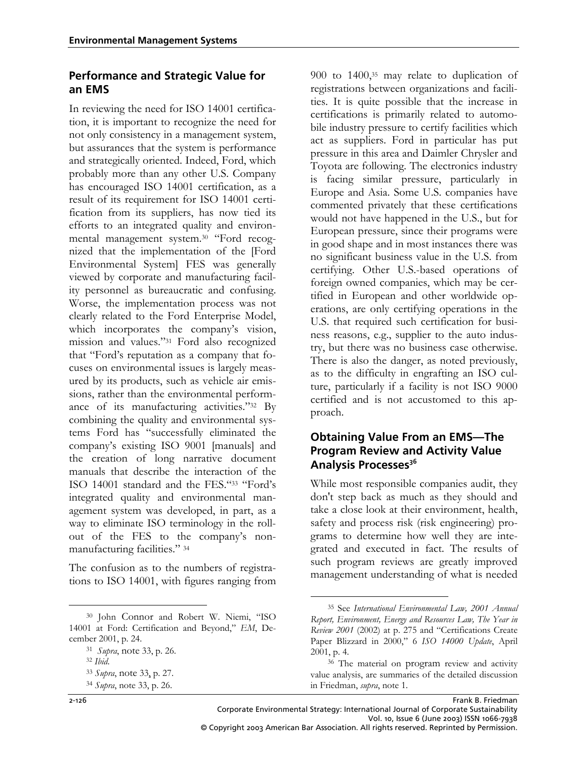#### **Performance and Strategic Value for an EMS**

In reviewing the need for ISO 14001 certification, it is important to recognize the need for not only consistency in a management system, but assurances that the system is performance and strategically oriented. Indeed, Ford, which probably more than any other U.S. Company has encouraged ISO 14001 certification, as a result of its requirement for ISO 14001 certification from its suppliers, has now tied its efforts to an integrated quality and environmental management system.[30](#page-9-0) "Ford recognized that the implementation of the [Ford Environmental System] FES was generally viewed by corporate and manufacturing facility personnel as bureaucratic and confusing. Worse, the implementation process was not clearly related to the Ford Enterprise Model, which incorporates the company's vision, mission and values."[31](#page-9-1) Ford also recognized that "Ford's reputation as a company that focuses on environmental issues is largely measured by its products, such as vehicle air emissions, rather than the environmental performance of its manufacturing activities.["32](#page-9-2) By combining the quality and environmental systems Ford has "successfully eliminated the company's existing ISO 9001 [manuals] and the creation of long narrative document manuals that describe the interaction of the ISO 14001 standard and the FES."[33](#page-9-3) "Ford's integrated quality and environmental management system was developed, in part, as a way to eliminate ISO terminology in the rollout of the FES to the company's nonmanufacturing facilities." [34](#page-9-4) 

The confusion as to the numbers of registrations to ISO 14001, with figures ranging from

900 to 1400,[35](#page-9-5) may relate to duplication of registrations between organizations and facilities. It is quite possible that the increase in certifications is primarily related to automobile industry pressure to certify facilities which act as suppliers. Ford in particular has put pressure in this area and Daimler Chrysler and Toyota are following. The electronics industry is facing similar pressure, particularly in Europe and Asia. Some U.S. companies have commented privately that these certifications would not have happened in the U.S., but for European pressure, since their programs were in good shape and in most instances there was no significant business value in the U.S. from certifying. Other U.S.-based operations of foreign owned companies, which may be certified in European and other worldwide operations, are only certifying operations in the U.S. that required such certification for business reasons, e.g., supplier to the auto industry, but there was no business case otherwise. There is also the danger, as noted previously, as to the difficulty in engrafting an ISO culture, particularly if a facility is not ISO 9000 certified and is not accustomed to this approach.

#### **Obtaining Value From an EMS—The Program Review and Activity Value**  Analysis Processes<sup>36</sup>

While most responsible companies audit, they don't step back as much as they should and take a close look at their environment, health, safety and process risk (risk engineering) programs to determine how well they are integrated and executed in fact. The results of such program reviews are greatly improved management understanding of what is needed

<span id="page-9-0"></span> <sup>30</sup> John Connor and Robert W. Niemi, "ISO 14001 at Ford: Certification and Beyond," *EM*, December 2001, p. 24.

<span id="page-9-1"></span><sup>31</sup>*Supra*, note 33, p. 26. 32 *Ibid*. 33 *Supra*, note 33, p. 27.

<span id="page-9-2"></span>

<span id="page-9-3"></span>

<span id="page-9-4"></span><sup>34</sup> *Supra*, note 33, p. 26.

<span id="page-9-5"></span> <sup>35</sup> See *International Environmental Law, 2001 Annual Report, Environment, Energy and Resources Law, The Year in Review 2001* (2002) at p. 275 and "Certifications Create Paper Blizzard in 2000," 6 *ISO 14000 Update*, April 2001, p. 4.

<span id="page-9-6"></span><sup>36</sup> The material on program review and activity value analysis, are summaries of the detailed discussion in Friedman, *supra*, note 1.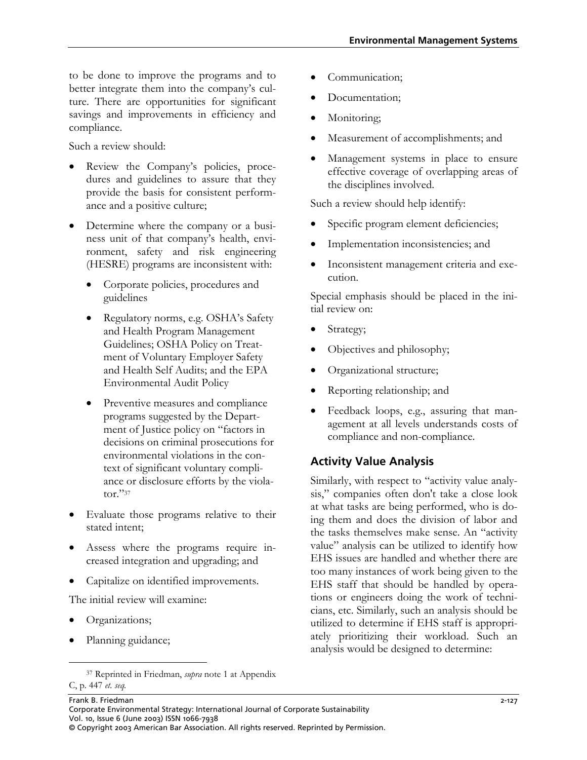to be done to improve the programs and to better integrate them into the company's culture. There are opportunities for significant savings and improvements in efficiency and compliance.

Such a review should:

- Review the Company's policies, procedures and guidelines to assure that they provide the basis for consistent performance and a positive culture;
- Determine where the company or a business unit of that company's health, environment, safety and risk engineering (HESRE) programs are inconsistent with:
	- Corporate policies, procedures and guidelines
	- Regulatory norms, e.g. OSHA's Safety and Health Program Management Guidelines; OSHA Policy on Treatment of Voluntary Employer Safety and Health Self Audits; and the EPA Environmental Audit Policy
	- Preventive measures and compliance programs suggested by the Department of Justice policy on "factors in decisions on criminal prosecutions for environmental violations in the context of significant voluntary compliance or disclosure efforts by the violator."[37](#page-10-0)
- Evaluate those programs relative to their stated intent;
- Assess where the programs require increased integration and upgrading; and
- Capitalize on identified improvements.

The initial review will examine:

- Organizations;
- Planning guidance;
- Documentation;
- Monitoring;
- Measurement of accomplishments; and
- Management systems in place to ensure effective coverage of overlapping areas of the disciplines involved.

Such a review should help identify:

- Specific program element deficiencies;
- Implementation inconsistencies; and
- Inconsistent management criteria and execution.

Special emphasis should be placed in the initial review on:

- Strategy;
- Objectives and philosophy;
- Organizational structure;
- Reporting relationship; and
- Feedback loops, e.g., assuring that management at all levels understands costs of compliance and non-compliance.

### **Activity Value Analysis**

Similarly, with respect to "activity value analysis," companies often don't take a close look at what tasks are being performed, who is doing them and does the division of labor and the tasks themselves make sense. An "activity value" analysis can be utilized to identify how EHS issues are handled and whether there are too many instances of work being given to the EHS staff that should be handled by operations or engineers doing the work of technicians, etc. Similarly, such an analysis should be utilized to determine if EHS staff is appropriately prioritizing their workload. Such an analysis would be designed to determine:

Communication;

<span id="page-10-0"></span> <sup>37</sup> Reprinted in Friedman, *supra* note 1 at Appendix C, p. 447 *et. seq.*